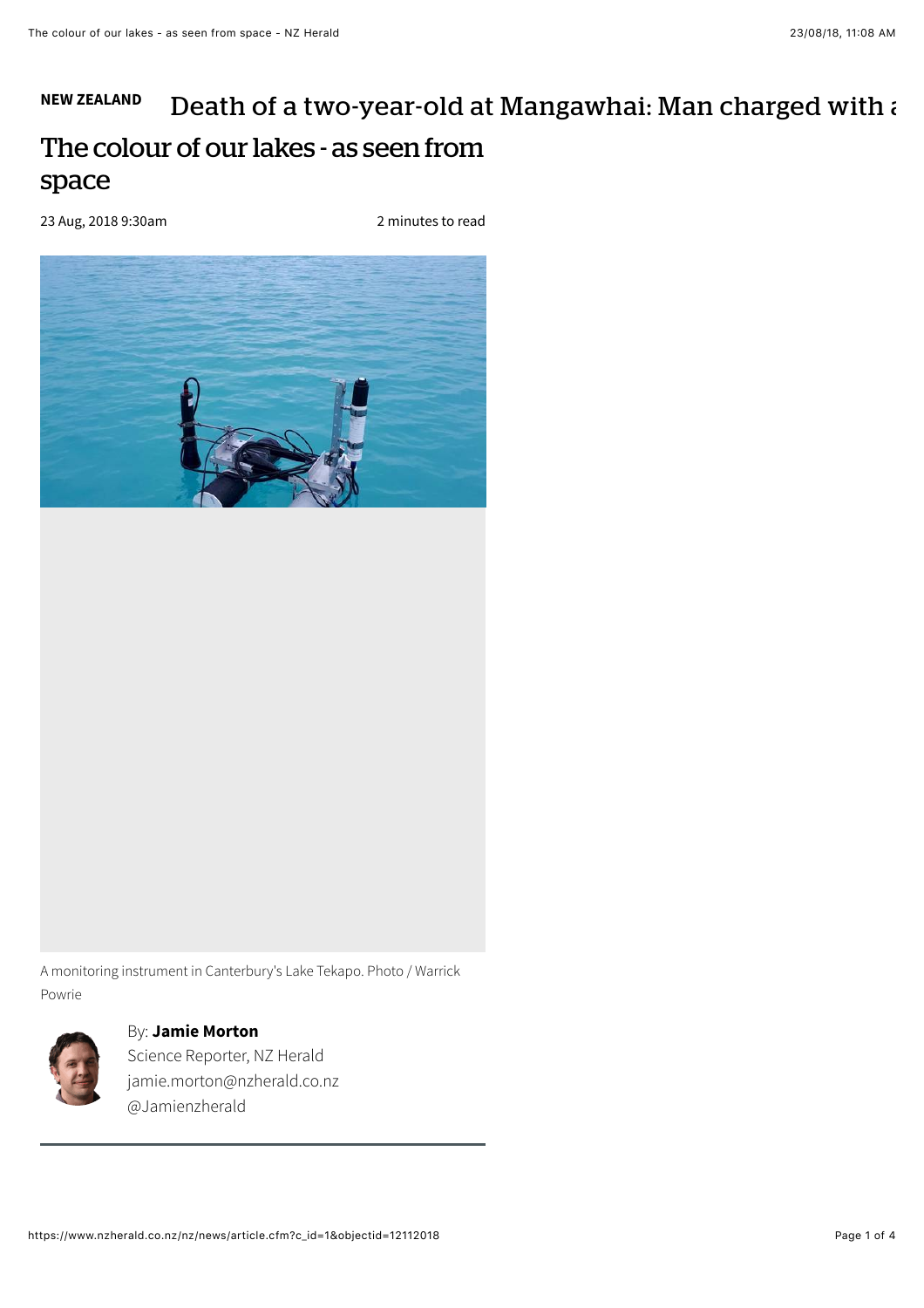## **[NEW ZEALAND](https://www.nzherald.co.nz/nz/news/headlines.cfm?c_id=1)** The colour of our lakes - as seen from space [Death of a two-year-old at Mangawhai: Man charged with a](https://www.nzherald.co.nz/nz/news/article.cfm?c_id=1&objectid=12112084)

23 Aug, 2018 9:30am

2 minutes to read



A monitoring instrument in Canterbury's Lake Tekapo. Photo / Warrick Powrie



## By: **[Jamie Morton](https://www.nzherald.co.nz/author/jamie-morton/)**

Science Reporter, NZ Herald [jamie.morton@nzherald.co.nz](mailto:jamie.morton@nzherald.co.nz) [@Jamienzherald](https://www.twitter.com/@Jamienzherald)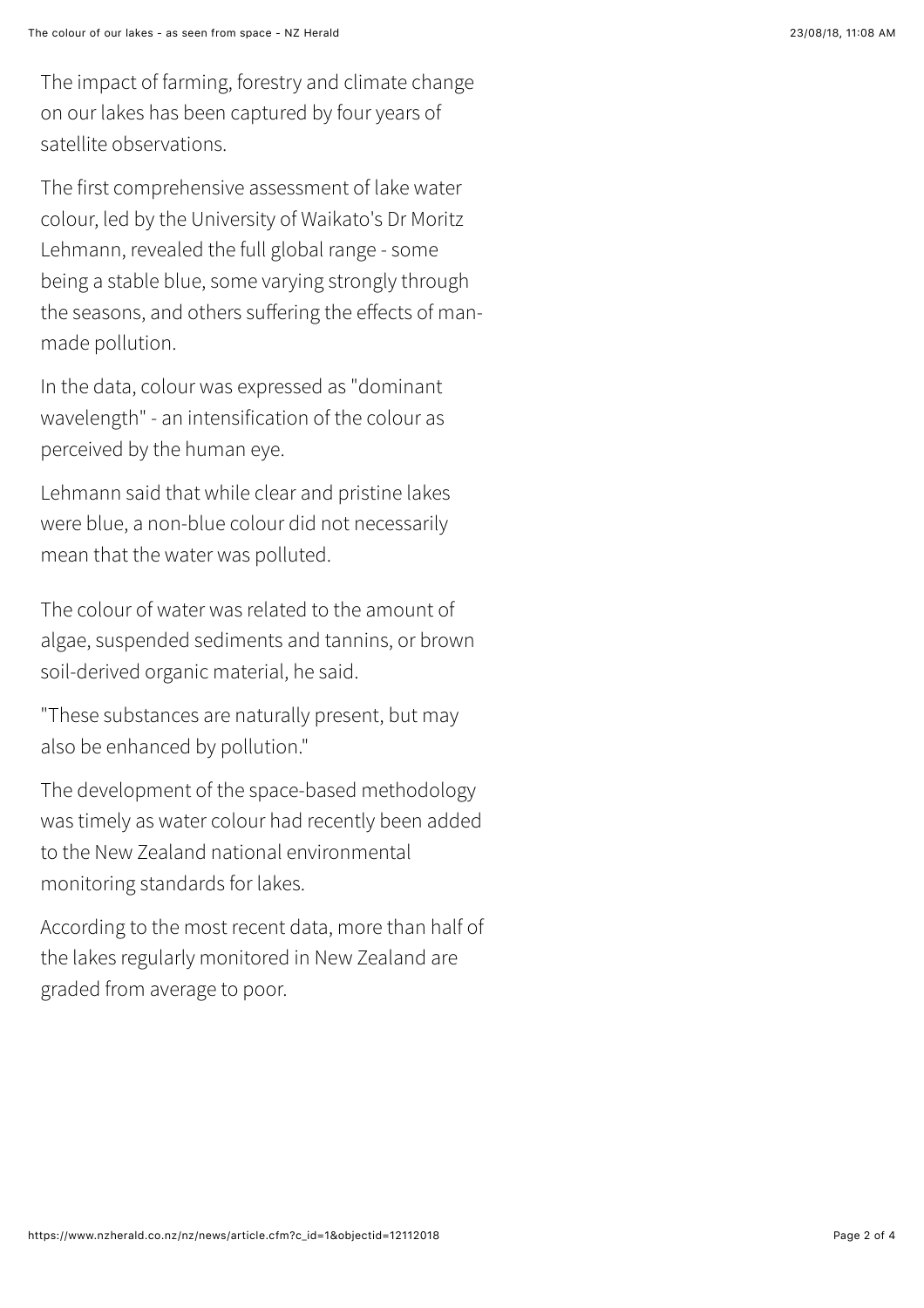The first comprehensive assessment of lake water colour, led by the University of Waikato's Dr Moritz Lehmann, revealed the full global range - some being a stable blue, some varying strongly through the seasons, and others suffering the effects of manmade pollution.

In the data, colour was expressed as "dominant wavelength" - an intensification of the colour as perceived by the human eye.

Lehmann said that while clear and pristine lakes were blue, a non-blue colour did not necessarily mean that the water was polluted.

The colour of water was related to the amount of algae, suspended sediments and tannins, or brown soil-derived organic material, he said.

"These substances are naturally present, but may also be enhanced by pollution."

The development of the space-based methodology was timely as water colour had recently been added to the New Zealand national environmental monitoring standards for lakes.

According to the most recent data, more than half of the lakes regularly monitored in New Zealand are graded from average to poor.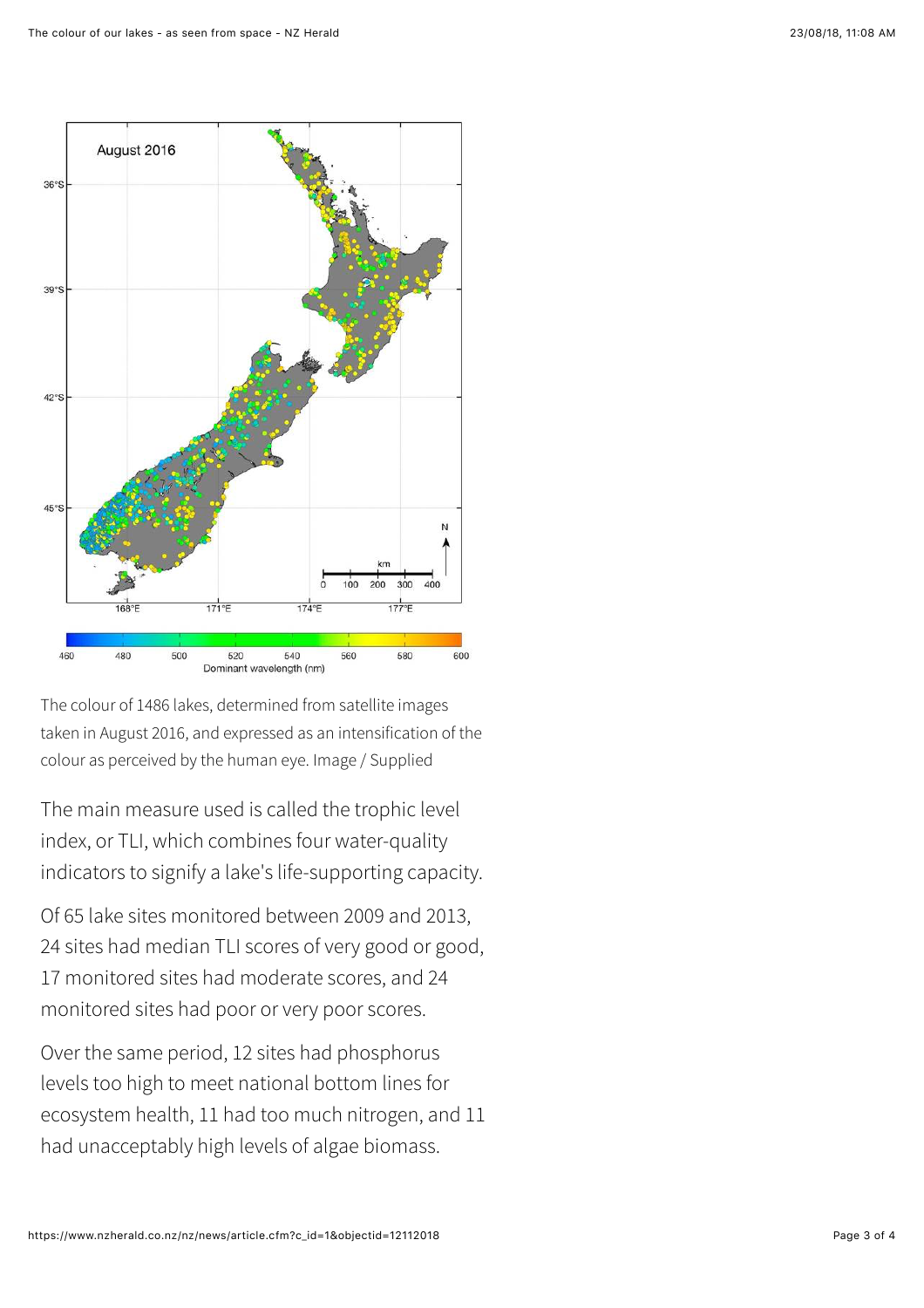

The colour of 1486 lakes, determined from satellite images taken in August 2016, and expressed as an intensification of the colour as perceived by the human eye. Image / Supplied

The main measure used is called the trophic level index, or TLI, which combines four water-quality indicators to signify a lake's life-supporting capacity.

Of 65 lake sites monitored between 2009 and 2013, 24 sites had median TLI scores of very good or good, 17 monitored sites had moderate scores, and 24 monitored sites had poor or very poor scores.

Over the same period, 12 sites had phosphorus levels too high to meet national bottom lines for ecosystem health, 11 had too much nitrogen, and 11 had unacceptably high levels of algae biomass.